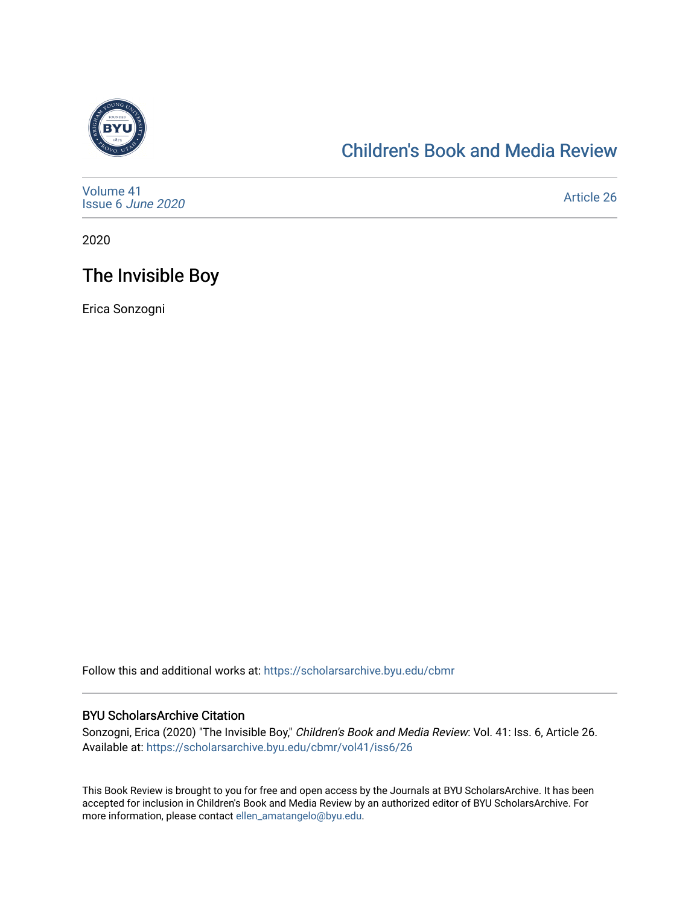

## [Children's Book and Media Review](https://scholarsarchive.byu.edu/cbmr)

| Volume 41<br>Issue 6 June 2020 | Article 26 |
|--------------------------------|------------|
|--------------------------------|------------|

2020

# The Invisible Boy

Erica Sonzogni

Follow this and additional works at: [https://scholarsarchive.byu.edu/cbmr](https://scholarsarchive.byu.edu/cbmr?utm_source=scholarsarchive.byu.edu%2Fcbmr%2Fvol41%2Fiss6%2F26&utm_medium=PDF&utm_campaign=PDFCoverPages) 

#### BYU ScholarsArchive Citation

Sonzogni, Erica (2020) "The Invisible Boy," Children's Book and Media Review: Vol. 41: Iss. 6, Article 26. Available at: [https://scholarsarchive.byu.edu/cbmr/vol41/iss6/26](https://scholarsarchive.byu.edu/cbmr/vol41/iss6/26?utm_source=scholarsarchive.byu.edu%2Fcbmr%2Fvol41%2Fiss6%2F26&utm_medium=PDF&utm_campaign=PDFCoverPages)

This Book Review is brought to you for free and open access by the Journals at BYU ScholarsArchive. It has been accepted for inclusion in Children's Book and Media Review by an authorized editor of BYU ScholarsArchive. For more information, please contact [ellen\\_amatangelo@byu.edu.](mailto:ellen_amatangelo@byu.edu)